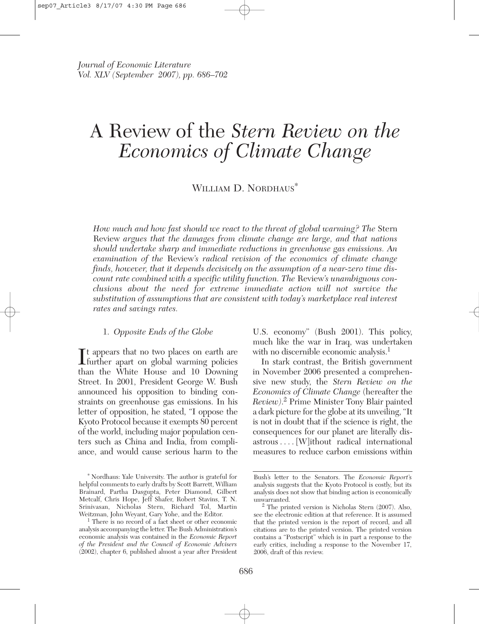# A Review of the *Stern Review on the Economics of Climate Change*

WILLIAM D. NORDHAUS<sup>\*</sup>

*How much and how fast should we react to the threat of global warming? The* Stern Review *argues that the damages from climate change are large, and that nations should undertake sharp and immediate reductions in greenhouse gas emissions. An examination of the* Review*'s radical revision of the economics of climate change finds, however, that it depends decisively on the assumption of a near-zero time discount rate combined with a specific utility function. The* Review*'s unambiguous conclusions about the need for extreme immediate action will not survive the substitution of assumptions that are consistent with today's marketplace real interest rates and savings rates.*

## 1. *Opposite Ends of the Globe*

It appears that no two places on earth are<br>further apart on global warming policies **T**t appears that no two places on earth are than the White House and 10 Downing Street. In 2001, President George W. Bush announced his opposition to binding constraints on greenhouse gas emissions. In his letter of opposition, he stated, "I oppose the Kyoto Protocol because it exempts 80 percent of the world, including major population centers such as China and India, from compliance, and would cause serious harm to the

U.S. economy" (Bush 2001). This policy, much like the war in Iraq, was undertaken with no discernible economic analysis.<sup>1</sup>

In stark contrast, the British government in November 2006 presented a comprehensive new study, the *Stern Review on the Economics of Climate Change* (hereafter the *Review)*. <sup>2</sup> Prime Minister Tony Blair painted a dark picture for the globe at its unveiling, "It is not in doubt that if the science is right, the consequences for our planet are literally disastrous.... [W]ithout radical international measures to reduce carbon emissions within

<sup>∗</sup>Nordhaus: Yale University. The author is grateful for helpful comments to early drafts by Scott Barrett, William Brainard, Partha Dasgupta, Peter Diamond, Gilbert Metcalf, Chris Hope, Jeff Shafer, Robert Stavins, T. N. Srinivasan, Nicholas Stern, Richard Tol, Martin

 $1$  There is no record of a fact sheet or other economic analysis accompanying the letter. The Bush Administration's economic analysis was contained in the *Economic Report of the President and the Council of Economic Advisers* (2002), chapter 6, published almost a year after President

Bush's letter to the Senators. The *Economic Report*'s analysis suggests that the Kyoto Protocol is costly, but its analysis does not show that binding action is economically

 $2$  The printed version is Nicholas Stern (2007). Also, see the electronic edition at that reference. It is assumed that the printed version is the report of record, and all citations are to the printed version. The printed version contains a "Postscript" which is in part a response to the early critics, including a response to the November 17, 2006, draft of this review.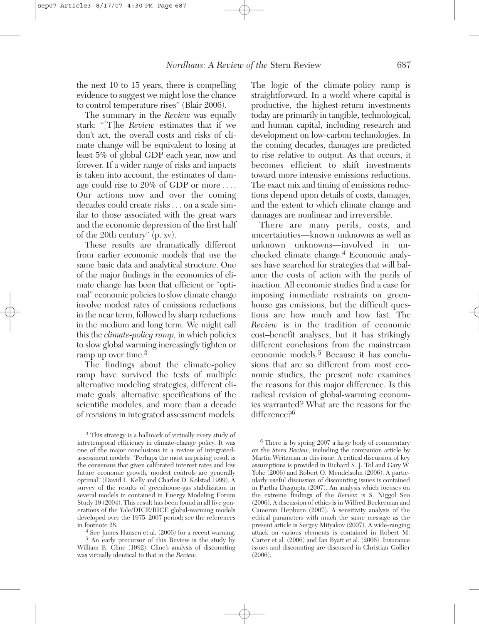the next 10 to 15 years, there is compelling evidence to suggest we might lose the chance to control temperature rises" (Blair 2006).

The summary in the *Review* was equally stark: "[T]he *Review* estimates that if we don't act, the overall costs and risks of climate change will be equivalent to losing at least 5% of global GDP each year, now and forever. If a wider range of risks and impacts is taken into account, the estimates of damage could rise to 20% of GDP or more.... Our actions now and over the coming decades could create risks . . . on a scale similar to those associated with the great wars and the economic depression of the first half of the 20th century" (p. xv).

These results are dramatically different from earlier economic models that use the same basic data and analytical structure. One of the major findings in the economics of climate change has been that efficient or "optimal" economic policies to slow climate change involve modest rates of emissions reductions in the near term, followed by sharp reductions in the medium and long term. We might call this the *climate-policy ramp,* in which policies to slow global warming increasingly tighten or ramp up over time.<sup>3</sup>

The findings about the climate-policy ramp have survived the tests of multiple alternative modeling strategies, different climate goals, alternative specifications of the scientific modules, and more than a decade of revisions in integrated assessment models.

The logic of the climate-policy ramp is straightforward. In a world where capital is productive, the highest-return investments today are primarily in tangible, technological, and human capital, including research and development on low-carbon technologies. In the coming decades, damages are predicted to rise relative to output. As that occurs, it becomes efficient to shift investments toward more intensive emissions reductions. The exact mix and timing of emissions reductions depend upon details of costs, damages, and the extent to which climate change and damages are nonlinear and irreversible.

There are many perils, costs, and uncertainties—known unknowns as well as unknown unknowns—involved in unchecked climate change.4 Economic analyses have searched for strategies that will balance the costs of action with the perils of inaction. All economic studies find a case for imposing immediate restraints on greenhouse gas emissions, but the difficult questions are how much and how fast. The *Review* is in the tradition of economic cost–benefit analyses, but it has strikingly different conclusions from the mainstream economic models.<sup>5</sup> Because it has conclusions that are so different from most economic studies, the present note examines the reasons for this major difference. Is this radical revision of global-warming economics warranted? What are the reasons for the difference<sup>26</sup>

<sup>3</sup> This strategy is a hallmark of virtually every study of intertemporal efficiency in climate-change policy. It was one of the major conclusions in a review of integratedassessment models: "Perhaps the most surprising result is the consensus that given calibrated interest rates and low future economic growth, modest controls are generally optimal" (David L. Kelly and Charles D. Kolstad 1999). A survey of the results of greenhouse-gas stabilization in several models in contained in Energy Modeling Forum Study 19 (2004). This result has been found in all five generations of the Yale/DICE/RICE global-warming models developed over the 1975–2007 period; see the references in footnote 28.

 $4$  See James Hansen et al. (2006) for a recent warning. <sup>5</sup> An early precursor of this Review is the study by William R. Cline (1992). Cline's analysis of discounting was virtually identical to that in the *Review.*

<sup>6</sup> There is by spring 2007 a large body of commentary on the *Stern Review,* including the companion article by Martin Weitzman in this issue. A critical discussion of key assumptions is provided in Richard S. J. Tol and Gary W. Yohe (2006) and Robert O. Mendelsohn (2006). A particularly useful discussion of discounting issues is contained in Partha Dasgupta (2007). An analysis which focuses on the extreme findings of the *Review* is S. Niggol Seo (2006). A discussion of ethics is in Wilfred Beckerman and Cameron Hepburn (2007). A sensitivity analysis of the ethical parameters with much the same message as the present article is Sergey Mityakov (2007). A wide-ranging attack on various elements is contained in Robert M. Carter et al. (2006) and Ian Byatt et al. (2006). Insurance issues and discounting are discussed in Christian Gollier (2006).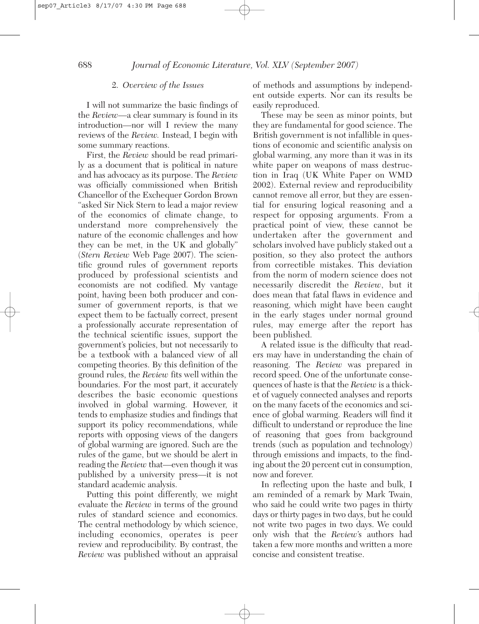#### 2. *Overview of the Issues*

I will not summarize the basic findings of the *Review*—a clear summary is found in its introduction—nor will I review the many reviews of the *Review.* Instead, I begin with some summary reactions.

First, the *Review* should be read primarily as a document that is political in nature and has advocacy as its purpose. The *Review* was officially commissioned when British Chancellor of the Exchequer Gordon Brown "asked Sir Nick Stern to lead a major review of the economics of climate change, to understand more comprehensively the nature of the economic challenges and how they can be met, in the UK and globally" (*Stern Review* Web Page 2007). The scientific ground rules of government reports produced by professional scientists and economists are not codified. My vantage point, having been both producer and consumer of government reports, is that we expect them to be factually correct, present a professionally accurate representation of the technical scientific issues, support the government's policies, but not necessarily to be a textbook with a balanced view of all competing theories. By this definition of the ground rules, the *Review* fits well within the boundaries. For the most part, it accurately describes the basic economic questions involved in global warming. However, it tends to emphasize studies and findings that support its policy recommendations, while reports with opposing views of the dangers of global warming are ignored. Such are the rules of the game, but we should be alert in reading the *Review* that—even though it was published by a university press—it is not standard academic analysis.

Putting this point differently, we might evaluate the *Review* in terms of the ground rules of standard science and economics. The central methodology by which science, including economics, operates is peer review and reproducibility. By contrast, the *Review* was published without an appraisal

of methods and assumptions by independent outside experts. Nor can its results be easily reproduced.

These may be seen as minor points, but they are fundamental for good science. The British government is not infallible in questions of economic and scientific analysis on global warming, any more than it was in its white paper on weapons of mass destruction in Iraq (UK White Paper on WMD 2002). External review and reproducibility cannot remove all error, but they are essential for ensuring logical reasoning and a respect for opposing arguments. From a practical point of view, these cannot be undertaken after the government and scholars involved have publicly staked out a position, so they also protect the authors from correctible mistakes. This deviation from the norm of modern science does not necessarily discredit the *Review*, but it does mean that fatal flaws in evidence and reasoning, which might have been caught in the early stages under normal ground rules, may emerge after the report has been published.

A related issue is the difficulty that readers may have in understanding the chain of reasoning. The *Review* was prepared in record speed. One of the unfortunate consequences of haste is that the *Review* is a thicket of vaguely connected analyses and reports on the many facets of the economics and science of global warming. Readers will find it difficult to understand or reproduce the line of reasoning that goes from background trends (such as population and technology) through emissions and impacts, to the finding about the 20 percent cut in consumption, now and forever.

In reflecting upon the haste and bulk, I am reminded of a remark by Mark Twain, who said he could write two pages in thirty days or thirty pages in two days, but he could not write two pages in two days. We could only wish that the *Review*'s authors had taken a few more months and written a more concise and consistent treatise.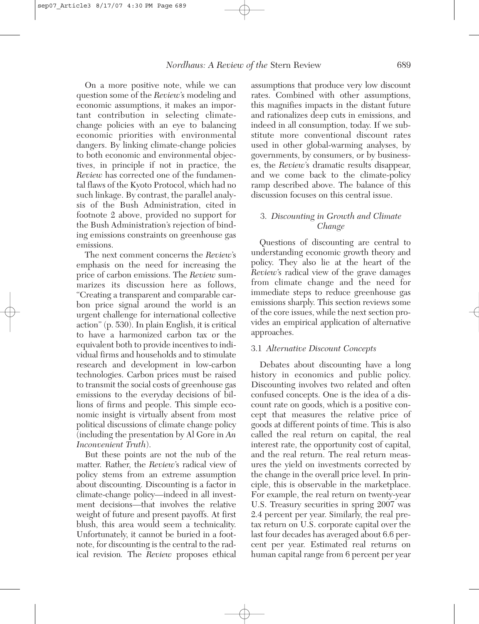On a more positive note, while we can question some of the *Review*'s modeling and economic assumptions, it makes an important contribution in selecting climatechange policies with an eye to balancing economic priorities with environmental dangers. By linking climate-change policies to both economic and environmental objectives, in principle if not in practice, the *Review* has corrected one of the fundamental flaws of the Kyoto Protocol, which had no such linkage. By contrast, the parallel analysis of the Bush Administration, cited in footnote 2 above, provided no support for the Bush Administration's rejection of binding emissions constraints on greenhouse gas emissions.

The next comment concerns the *Review*'s emphasis on the need for increasing the price of carbon emissions. The *Review* summarizes its discussion here as follows, "Creating a transparent and comparable carbon price signal around the world is an urgent challenge for international collective action" (p. 530). In plain English, it is critical to have a harmonized carbon tax or the equivalent both to provide incentives to individual firms and households and to stimulate research and development in low-carbon technologies. Carbon prices must be raised to transmit the social costs of greenhouse gas emissions to the everyday decisions of billions of firms and people. This simple economic insight is virtually absent from most political discussions of climate change policy (including the presentation by Al Gore in *An Inconvenient Truth*).

But these points are not the nub of the matter. Rather, the *Review*'s radical view of policy stems from an extreme assumption about discounting. Discounting is a factor in climate-change policy—indeed in all investment decisions—that involves the relative weight of future and present payoffs. At first blush, this area would seem a technicality. Unfortunately, it cannot be buried in a footnote, for discounting is the central to the radical revision*.* The *Review* proposes ethical

assumptions that produce very low discount rates. Combined with other assumptions, this magnifies impacts in the distant future and rationalizes deep cuts in emissions, and indeed in all consumption, today. If we substitute more conventional discount rates used in other global-warming analyses, by governments, by consumers, or by businesses, the *Review*'s dramatic results disappear, and we come back to the climate-policy ramp described above. The balance of this discussion focuses on this central issue.

#### 3. *Discounting in Growth and Climate Change*

Questions of discounting are central to understanding economic growth theory and policy. They also lie at the heart of the *Review*'s radical view of the grave damages from climate change and the need for immediate steps to reduce greenhouse gas emissions sharply. This section reviews some of the core issues, while the next section provides an empirical application of alternative approaches.

#### 3.1 *Alternative Discount Concepts*

Debates about discounting have a long history in economics and public policy. Discounting involves two related and often confused concepts. One is the idea of a discount rate on goods, which is a positive concept that measures the relative price of goods at different points of time. This is also called the real return on capital, the real interest rate, the opportunity cost of capital, and the real return. The real return measures the yield on investments corrected by the change in the overall price level. In principle, this is observable in the marketplace. For example, the real return on twenty-year U.S. Treasury securities in spring 2007 was 2.4 percent per year. Similarly, the real pretax return on U.S. corporate capital over the last four decades has averaged about 6.6 percent per year. Estimated real returns on human capital range from 6 percent per year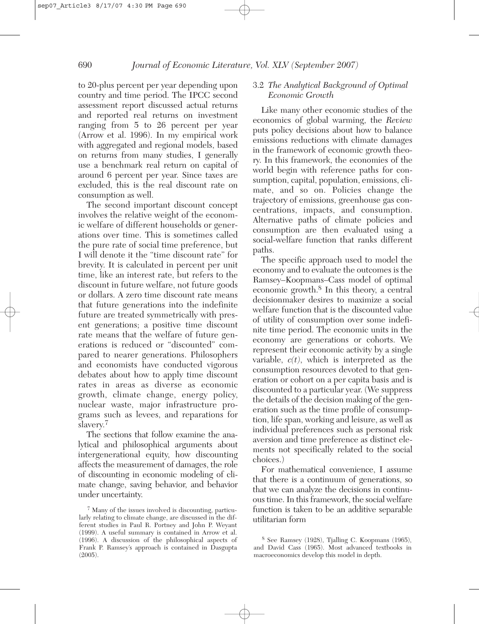to 20-plus percent per year depending upon country and time period. The IPCC second assessment report discussed actual returns and reported real returns on investment ranging from 5 to 26 percent per year (Arrow et al. 1996). In my empirical work with aggregated and regional models, based on returns from many studies, I generally use a benchmark real return on capital of around 6 percent per year. Since taxes are excluded, this is the real discount rate on consumption as well.

The second important discount concept involves the relative weight of the economic welfare of different households or generations over time. This is sometimes called the pure rate of social time preference, but I will denote it the "time discount rate" for brevity. It is calculated in percent per unit time, like an interest rate, but refers to the discount in future welfare, not future goods or dollars. A zero time discount rate means that future generations into the indefinite future are treated symmetrically with present generations; a positive time discount rate means that the welfare of future generations is reduced or "discounted" compared to nearer generations. Philosophers and economists have conducted vigorous debates about how to apply time discount rates in areas as diverse as economic growth, climate change, energy policy, nuclear waste, major infrastructure programs such as levees, and reparations for slavery.<sup>7</sup>

The sections that follow examine the analytical and philosophical arguments about intergenerational equity, how discounting affects the measurement of damages, the role of discounting in economic modeling of climate change, saving behavior, and behavior under uncertainty.

# 3.2 *The Analytical Background of Optimal Economic Growth*

Like many other economic studies of the economics of global warming, the *Review* puts policy decisions about how to balance emissions reductions with climate damages in the framework of economic growth theory. In this framework, the economies of the world begin with reference paths for consumption, capital, population, emissions, climate, and so on. Policies change the trajectory of emissions, greenhouse gas concentrations, impacts, and consumption. Alternative paths of climate policies and consumption are then evaluated using a social-welfare function that ranks different paths.

The specific approach used to model the economy and to evaluate the outcomes is the Ramsey–Koopmans–Cass model of optimal economic growth.<sup>8</sup> In this theory, a central decisionmaker desires to maximize a social welfare function that is the discounted value of utility of consumption over some indefinite time period. The economic units in the economy are generations or cohorts. We represent their economic activity by a single variable,  $c(t)$ , which is interpreted as the consumption resources devoted to that generation or cohort on a per capita basis and is discounted to a particular year. (We suppress the details of the decision making of the generation such as the time profile of consumption, life span, working and leisure, as well as individual preferences such as personal risk aversion and time preference as distinct elements not specifically related to the social choices.)

For mathematical convenience, I assume that there is a continuum of generations, so that we can analyze the decisions in continuous time. In this framework, the social welfare function is taken to be an additive separable utilitarian form

<sup>7</sup> Many of the issues involved is discounting, particularly relating to climate change, are discussed in the different studies in Paul R. Portney and John P. Weyant (1999). A useful summary is contained in Arrow et al. (1996). A discussion of the philosophical aspects of Frank P. Ramsey's approach is contained in Dasgupta  $(2005)$ .

<sup>8</sup> See Ramsey (1928), Tjalling C. Koopmans (1965), and David Cass (1965). Most advanced textbooks in macroeconomics develop this model in depth.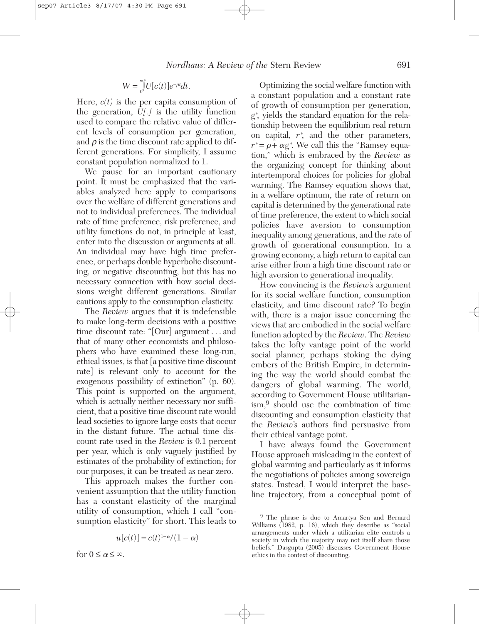$$
W=\displaystyle\int\limits_0^\infty U[c(t)]e^{-\rho t}dt.
$$

Here,  $c(t)$  is the per capita consumption of the generation, *U[.]* is the utility function used to compare the relative value of different levels of consumption per generation, and  $\rho$  is the time discount rate applied to different generations. For simplicity, I assume constant population normalized to 1.

We pause for an important cautionary point. It must be emphasized that the variables analyzed here apply to comparisons over the welfare of different generations and not to individual preferences. The individual rate of time preference, risk preference, and utility functions do not, in principle at least, enter into the discussion or arguments at all. An individual may have high time preference, or perhaps double hyperbolic discounting, or negative discounting, but this has no necessary connection with how social decisions weight different generations. Similar cautions apply to the consumption elasticity.

The *Review* argues that it is indefensible to make long-term decisions with a positive time discount rate: "[Our] argument . . . and that of many other economists and philosophers who have examined these long-run, ethical issues, is that [a positive time discount rate] is relevant only to account for the exogenous possibility of extinction" (p. 60). This point is supported on the argument, which is actually neither necessary nor sufficient, that a positive time discount rate would lead societies to ignore large costs that occur in the distant future. The actual time discount rate used in the *Review* is 0.1 percent per year, which is only vaguely justified by estimates of the probability of extinction; for our purposes, it can be treated as near-zero.

This approach makes the further convenient assumption that the utility function has a constant elasticity of the marginal utility of consumption, which I call "consumption elasticity" for short. This leads to

$$
u\big[c(t)\big]=c(t)^{1-\alpha}/(1-\alpha)
$$

for  $0 \leq \alpha \leq \infty$ .

Optimizing the social welfare function with a constant population and a constant rate of growth of consumption per generation, *g*∗ , yields the standard equation for the relationship between the equilibrium real return on capital,  $r^*$ , and the other parameters,  $r^* = \rho + \alpha g^*$ . We call this the "Ramsey equation," which is embraced by the *Review* as the organizing concept for thinking about intertemporal choices for policies for global warming. The Ramsey equation shows that, in a welfare optimum, the rate of return on capital is determined by the generational rate of time preference, the extent to which social policies have aversion to consumption inequality among generations, and the rate of growth of generational consumption. In a growing economy, a high return to capital can arise either from a high time discount rate or high aversion to generational inequality.

How convincing is the *Review*'s argument for its social welfare function, consumption elasticity, and time discount rate? To begin with, there is a major issue concerning the views that are embodied in the social welfare function adopted by the *Review*. The *Review* takes the lofty vantage point of the world social planner, perhaps stoking the dying embers of the British Empire, in determining the way the world should combat the dangers of global warming. The world, according to Government House utilitarianism,9 should use the combination of time discounting and consumption elasticity that the *Review*'s authors find persuasive from their ethical vantage point.

I have always found the Government House approach misleading in the context of global warming and particularly as it informs the negotiations of policies among sovereign states. Instead, I would interpret the baseline trajectory, from a conceptual point of

<sup>9</sup> The phrase is due to Amartya Sen and Bernard Williams (1982, p. 16), which they describe as "social arrangements under which a utilitarian elite controls a society in which the majority may not itself share those beliefs." Dasgupta (2005) discusses Government House ethics in the context of discounting.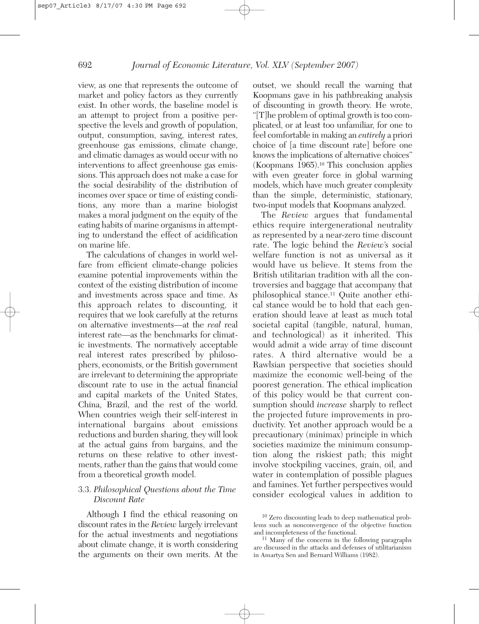view, as one that represents the outcome of market and policy factors as they currently exist. In other words, the baseline model is an attempt to project from a positive perspective the levels and growth of population, output, consumption, saving, interest rates, greenhouse gas emissions, climate change, and climatic damages as would occur with no interventions to affect greenhouse gas emissions. This approach does not make a case for the social desirability of the distribution of incomes over space or time of existing conditions, any more than a marine biologist makes a moral judgment on the equity of the eating habits of marine organisms in attempting to understand the effect of acidification on marine life.

The calculations of changes in world welfare from efficient climate-change policies examine potential improvements within the context of the existing distribution of income and investments across space and time. As this approach relates to discounting, it requires that we look carefully at the returns on alternative investments—at the *real* real interest rate—as the benchmarks for climatic investments. The normatively acceptable real interest rates prescribed by philosophers, economists, or the British government are irrelevant to determining the appropriate discount rate to use in the actual financial and capital markets of the United States, China, Brazil, and the rest of the world. When countries weigh their self-interest in international bargains about emissions reductions and burden sharing, they will look at the actual gains from bargains, and the returns on these relative to other investments, rather than the gains that would come from a theoretical growth model.

# 3.3. *Philosophical Questions about the Time Discount Rate*

Although I find the ethical reasoning on discount rates in the *Review* largely irrelevant for the actual investments and negotiations about climate change, it is worth considering the arguments on their own merits. At the

outset, we should recall the warning that Koopmans gave in his pathbreaking analysis of discounting in growth theory. He wrote, "[T]he problem of optimal growth is too complicated, or at least too unfamiliar, for one to feel comfortable in making an *entirely* a priori choice of [a time discount rate] before one knows the implications of alternative choices" (Koopmans 1965).10 This conclusion applies with even greater force in global warming models, which have much greater complexity than the simple, deterministic, stationary, two-input models that Koopmans analyzed.

The *Review* argues that fundamental ethics require intergenerational neutrality as represented by a near-zero time discount rate. The logic behind the *Review*'s social welfare function is not as universal as it would have us believe. It stems from the British utilitarian tradition with all the controversies and baggage that accompany that philosophical stance.11 Quite another ethical stance would be to hold that each generation should leave at least as much total societal capital (tangible, natural, human, and technological) as it inherited. This would admit a wide array of time discount rates. A third alternative would be a Rawlsian perspective that societies should maximize the economic well-being of the poorest generation. The ethical implication of this policy would be that current consumption should *increase* sharply to reflect the projected future improvements in productivity. Yet another approach would be a precautionary (minimax) principle in which societies maximize the minimum consumption along the riskiest path; this might involve stockpiling vaccines, grain, oil, and water in contemplation of possible plagues and famines. Yet further perspectives would consider ecological values in addition to

<sup>10</sup> Zero discounting leads to deep mathematical problems such as nonconvergence of the objective function

 $\overrightarrow{11}$  Many of the concerns in the following paragraphs are discussed in the attacks and defenses of utilitarianism in Amartya Sen and Bernard Williams (1982).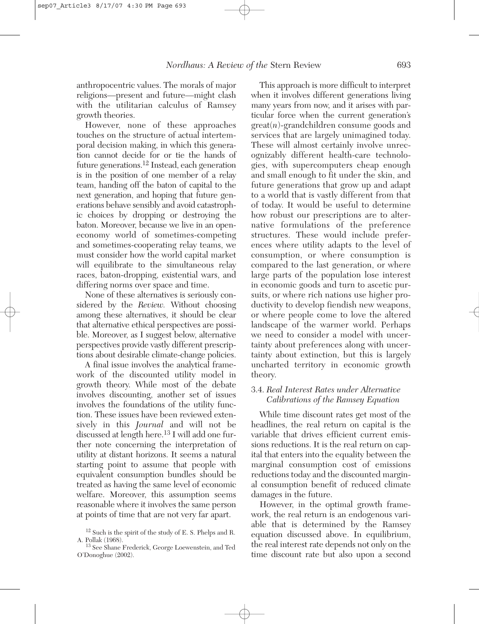anthropocentric values. The morals of major religions—present and future—might clash with the utilitarian calculus of Ramsey growth theories.

However, none of these approaches touches on the structure of actual intertemporal decision making, in which this generation cannot decide for or tie the hands of future generations.12 Instead, each generation is in the position of one member of a relay team, handing off the baton of capital to the next generation, and hoping that future generations behave sensibly and avoid catastrophic choices by dropping or destroying the baton. Moreover, because we live in an openeconomy world of sometimes-competing and sometimes-cooperating relay teams, we must consider how the world capital market will equilibrate to the simultaneous relay races, baton-dropping, existential wars, and differing norms over space and time.

None of these alternatives is seriously considered by the *Review.* Without choosing among these alternatives, it should be clear that alternative ethical perspectives are possible. Moreover, as I suggest below, alternative perspectives provide vastly different prescriptions about desirable climate-change policies.

A final issue involves the analytical framework of the discounted utility model in growth theory. While most of the debate involves discounting, another set of issues involves the foundations of the utility function. These issues have been reviewed extensively in this *Journal* and will not be discussed at length here.13 I will add one further note concerning the interpretation of utility at distant horizons. It seems a natural starting point to assume that people with equivalent consumption bundles should be treated as having the same level of economic welfare. Moreover, this assumption seems reasonable where it involves the same person at points of time that are not very far apart.

This approach is more difficult to interpret when it involves different generations living many years from now, and it arises with particular force when the current generation's great(*n*)-grandchildren consume goods and services that are largely unimagined today. These will almost certainly involve unrecognizably different health-care technologies, with supercomputers cheap enough and small enough to fit under the skin, and future generations that grow up and adapt to a world that is vastly different from that of today. It would be useful to determine how robust our prescriptions are to alternative formulations of the preference structures. These would include preferences where utility adapts to the level of consumption, or where consumption is compared to the last generation, or where large parts of the population lose interest in economic goods and turn to ascetic pursuits, or where rich nations use higher productivity to develop fiendish new weapons, or where people come to love the altered landscape of the warmer world. Perhaps we need to consider a model with uncertainty about preferences along with uncertainty about extinction, but this is largely uncharted territory in economic growth theory.

### 3.4. *Real Interest Rates under Alternative Calibrations of the Ramsey Equation*

While time discount rates get most of the headlines, the real return on capital is the variable that drives efficient current emissions reductions. It is the real return on capital that enters into the equality between the marginal consumption cost of emissions reductions today and the discounted marginal consumption benefit of reduced climate damages in the future.

However, in the optimal growth framework, the real return is an endogenous variable that is determined by the Ramsey equation discussed above. In equilibrium, the real interest rate depends not only on the time discount rate but also upon a second

 $^{12}$  Such is the spirit of the study of E. S. Phelps and R. A. Pollak (1968).

<sup>&</sup>lt;sup>13</sup> See Shane Frederick, George Loewenstein, and Ted O'Donoghue (2002).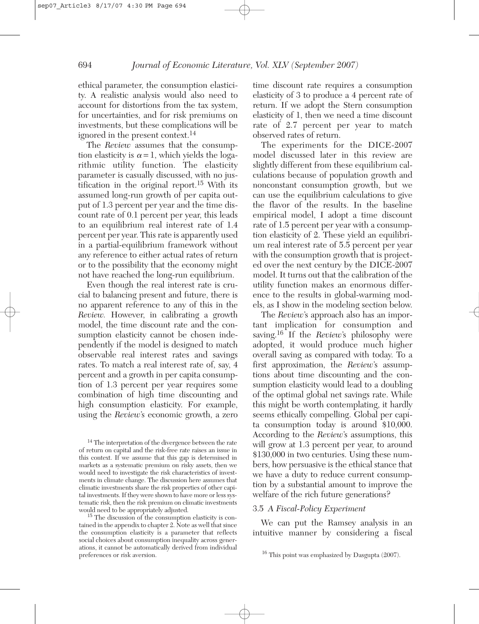ethical parameter, the consumption elasticity. A realistic analysis would also need to account for distortions from the tax system, for uncertainties, and for risk premiums on investments, but these complications will be ignored in the present context.<sup>14</sup>

The *Review* assumes that the consumption elasticity is  $\alpha = 1$ , which yields the logarithmic utility function. The elasticity parameter is casually discussed, with no justification in the original report.15 With its assumed long-run growth of per capita output of 1.3 percent per year and the time discount rate of 0.1 percent per year, this leads to an equilibrium real interest rate of 1.4 percent per year. This rate is apparently used in a partial-equilibrium framework without any reference to either actual rates of return or to the possibility that the economy might not have reached the long-run equilibrium.

Even though the real interest rate is crucial to balancing present and future, there is no apparent reference to any of this in the *Review.* However, in calibrating a growth model, the time discount rate and the consumption elasticity cannot be chosen independently if the model is designed to match observable real interest rates and savings rates. To match a real interest rate of, say, 4 percent and a growth in per capita consumption of 1.3 percent per year requires some combination of high time discounting and high consumption elasticity. For example, using the *Review*'s economic growth, a zero

 $15$  The discussion of the consumption elasticity is contained in the appendix to chapter 2. Note as well that since the consumption elasticity is a parameter that reflects social choices about consumption inequality across generations, it cannot be automatically derived from individual time discount rate requires a consumption elasticity of 3 to produce a 4 percent rate of return. If we adopt the Stern consumption elasticity of 1, then we need a time discount rate of 2.7 percent per year to match observed rates of return.

The experiments for the DICE-2007 model discussed later in this review are slightly different from these equilibrium calculations because of population growth and nonconstant consumption growth, but we can use the equilibrium calculations to give the flavor of the results. In the baseline empirical model, I adopt a time discount rate of 1.5 percent per year with a consumption elasticity of 2. These yield an equilibrium real interest rate of 5.5 percent per year with the consumption growth that is projected over the next century by the DICE-2007 model. It turns out that the calibration of the utility function makes an enormous difference to the results in global-warming models, as I show in the modeling section below.

The *Review*'s approach also has an important implication for consumption and saving.16 If the *Review*'s philosophy were adopted, it would produce much higher overall saving as compared with today. To a first approximation, the *Review*'s assumptions about time discounting and the consumption elasticity would lead to a doubling of the optimal global net savings rate. While this might be worth contemplating, it hardly seems ethically compelling. Global per capita consumption today is around \$10,000. According to the *Review*'s assumptions, this will grow at 1.3 percent per year, to around \$130,000 in two centuries. Using these numbers, how persuasive is the ethical stance that we have a duty to reduce current consumption by a substantial amount to improve the welfare of the rich future generations?

### 3.5 *A Fiscal-Policy Experiment*

We can put the Ramsey analysis in an intuitive manner by considering a fiscal

<sup>&</sup>lt;sup>14</sup> The interpretation of the divergence between the rate of return on capital and the risk-free rate raises an issue in this context. If we assume that this gap is determined in markets as a systematic premium on risky assets, then we would need to investigate the risk characteristics of investments in climate change. The discussion here assumes that climatic investments share the risk properties of other capital investments. If they were shown to have more or less systematic risk, then the risk premium on climatic investments would need to be appropriately adjusted.

<sup>&</sup>lt;sup>16</sup> This point was emphasized by Dasgupta  $(2007)$ .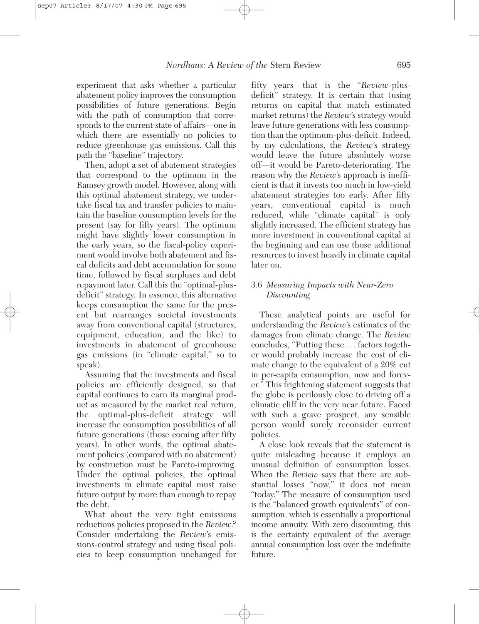experiment that asks whether a particular abatement policy improves the consumption possibilities of future generations. Begin with the path of consumption that corresponds to the current state of affairs—one in which there are essentially no policies to reduce greenhouse gas emissions. Call this path the "baseline" trajectory.

Then, adopt a set of abatement strategies that correspond to the optimum in the Ramsey growth model. However, along with this optimal abatement strategy, we undertake fiscal tax and transfer policies to maintain the baseline consumption levels for the present (say for fifty years). The optimum might have slightly lower consumption in the early years, so the fiscal-policy experiment would involve both abatement and fiscal deficits and debt accumulation for some time, followed by fiscal surpluses and debt repayment later. Call this the "optimal-plusdeficit" strategy. In essence, this alternative keeps consumption the same for the present but rearranges societal investments away from conventional capital (structures, equipment, education, and the like) to investments in abatement of greenhouse gas emissions (in "climate capital," so to speak).

Assuming that the investments and fiscal policies are efficiently designed, so that capital continues to earn its marginal product as measured by the market real return, the optimal-plus-deficit strategy will increase the consumption possibilities of all future generations (those coming after fifty years). In other words, the optimal abatement policies (compared with no abatement) by construction must be Pareto-improving. Under the optimal policies, the optimal investments in climate capital must raise future output by more than enough to repay the debt.

What about the very tight emissions reductions policies proposed in the *Review?* Consider undertaking the *Review*'s emissions-control strategy and using fiscal policies to keep consumption unchanged for

fifty years—that is the "*Review*-plusdeficit" strategy. It is certain that (using returns on capital that match estimated market returns) the *Review*'s strategy would leave future generations with less consumption than the optimum-plus-deficit. Indeed, by my calculations, the *Review*'s strategy would leave the future absolutely worse off—it would be Pareto-deteriorating. The reason why the *Review*'s approach is inefficient is that it invests too much in low-yield abatement strategies too early. After fifty years, conventional capital is much reduced, while "climate capital" is only slightly increased. The efficient strategy has more investment in conventional capital at the beginning and can use those additional resources to invest heavily in climate capital later on.

# 3.6 *Measuring Impacts with Near-Zero Discounting*

These analytical points are useful for understanding the *Review*'s estimates of the damages from climate change. The *Review* concludes, "Putting these... factors together would probably increase the cost of climate change to the equivalent of a 20% cut in per-capita consumption, now and forever." This frightening statement suggests that the globe is perilously close to driving off a climatic cliff in the very near future. Faced with such a grave prospect, any sensible person would surely reconsider current policies.

A close look reveals that the statement is quite misleading because it employs an unusual definition of consumption losses. When the *Review* says that there are substantial losses "now," it does not mean "today." The measure of consumption used is the "balanced growth equivalents" of consumption, which is essentially a proportional income annuity. With zero discounting, this is the certainty equivalent of the average annual consumption loss over the indefinite future.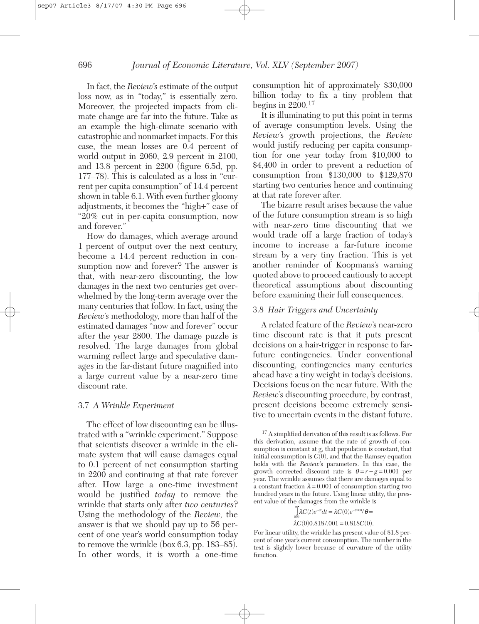In fact, the *Review*'s estimate of the output loss now, as in "today," is essentially zero. Moreover, the projected impacts from climate change are far into the future. Take as an example the high-climate scenario with catastrophic and nonmarket impacts. For this case, the mean losses are 0.4 percent of world output in 2060, 2.9 percent in 2100, and 13.8 percent in 2200 (figure 6.5d, pp. 177–78). This is calculated as a loss in "current per capita consumption" of 14.4 percent shown in table 6.1. With even further gloomy adjustments, it becomes the "high+" case of "20% cut in per-capita consumption, now and forever."

How do damages, which average around 1 percent of output over the next century, become a 14.4 percent reduction in consumption now and forever? The answer is that, with near-zero discounting, the low damages in the next two centuries get overwhelmed by the long-term average over the many centuries that follow. In fact, using the *Review*'s methodology, more than half of the estimated damages "now and forever" occur after the year 2800. The damage puzzle is resolved. The large damages from global warming reflect large and speculative damages in the far-distant future magnified into a large current value by a near-zero time discount rate.

#### 3.7 *A Wrinkle Experiment*

The effect of low discounting can be illustrated with a "wrinkle experiment." Suppose that scientists discover a wrinkle in the climate system that will cause damages equal to 0.1 percent of net consumption starting in 2200 and continuing at that rate forever after. How large a one-time investment would be justified *today* to remove the wrinkle that starts only after *two centuries*? Using the methodology of the *Review,* the answer is that we should pay up to 56 percent of one year's world consumption today to remove the wrinkle (box 6.3, pp. 183–85). In other words, it is worth a one-time

consumption hit of approximately \$30,000 billion today to fix a tiny problem that begins in 2200.<sup>17</sup>

It is illuminating to put this point in terms of average consumption levels. Using the *Review*'s growth projections, the *Review* would justify reducing per capita consumption for one year today from \$10,000 to \$4,400 in order to prevent a reduction of consumption from \$130,000 to \$129,870 starting two centuries hence and continuing at that rate forever after.

The bizarre result arises because the value of the future consumption stream is so high with near-zero time discounting that we would trade off a large fraction of today's income to increase a far-future income stream by a very tiny fraction. This is yet another reminder of Koopmans's warning quoted above to proceed cautiously to accept theoretical assumptions about discounting before examining their full consequences.

#### 3.8 *Hair Triggers and Uncertainty*

A related feature of the *Review*'s near-zero time discount rate is that it puts present decisions on a hair-trigger in response to farfuture contingencies. Under conventional discounting, contingencies many centuries ahead have a tiny weight in today's decisions. Decisions focus on the near future. With the *Review*'s discounting procedure, by contrast, present decisions become extremely sensitive to uncertain events in the distant future.

$$
\int_{200}^{\infty} \lambda C(t)e^{-\theta t}dt = \lambda C(0)e^{-\theta 200}/\theta =
$$
  

$$
\lambda C(0)0.818/.001 = 0.818C(0).
$$

For linear utility, the wrinkle has present value of 81.8 percent of one year's current consumption. The number in the text is slightly lower because of curvature of the utility function.

<sup>&</sup>lt;sup>17</sup> A simplified derivation of this result is as follows. For this derivation, assume that the rate of growth of consumption is constant at g, that population is constant, that initial consumption is  $C(0)$ , and that the Ramsey equation holds with the *Review*'s parameters. In this case, the growth corrected discount rate is  $\theta = r - g = 0.001$  per year. The wrinkle assumes that there are damages equal to a constant fraction  $\lambda = 0.001$  of consumption starting two hundred years in the future. Using linear utility, the present value of the damages from the wrinkle is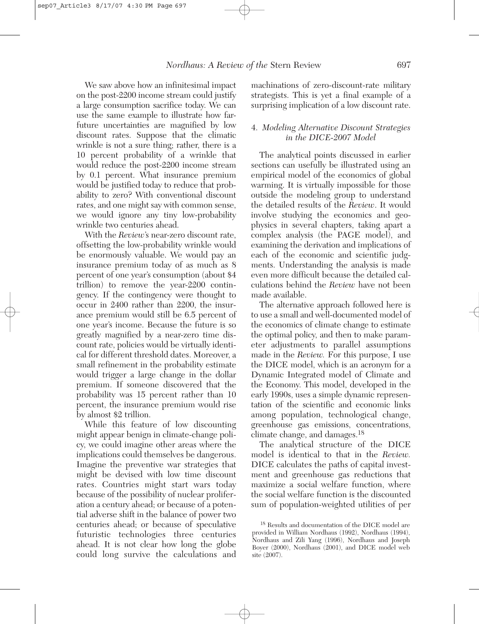We saw above how an infinitesimal impact on the post-2200 income stream could justify a large consumption sacrifice today. We can use the same example to illustrate how farfuture uncertainties are magnified by low discount rates. Suppose that the climatic wrinkle is not a sure thing; rather, there is a 10 percent probability of a wrinkle that would reduce the post-2200 income stream by 0.1 percent. What insurance premium would be justified today to reduce that probability to zero? With conventional discount rates, and one might say with common sense, we would ignore any tiny low-probability wrinkle two centuries ahead.

With the *Review*'s near-zero discount rate, offsetting the low-probability wrinkle would be enormously valuable. We would pay an insurance premium today of as much as 8 percent of one year's consumption (about \$4 trillion) to remove the year-2200 contingency. If the contingency were thought to occur in 2400 rather than 2200, the insurance premium would still be 6.5 percent of one year's income. Because the future is so greatly magnified by a near-zero time discount rate, policies would be virtually identical for different threshold dates. Moreover, a small refinement in the probability estimate would trigger a large change in the dollar premium. If someone discovered that the probability was 15 percent rather than 10 percent, the insurance premium would rise by almost \$2 trillion.

While this feature of low discounting might appear benign in climate-change policy, we could imagine other areas where the implications could themselves be dangerous. Imagine the preventive war strategies that might be devised with low time discount rates. Countries might start wars today because of the possibility of nuclear proliferation a century ahead; or because of a potential adverse shift in the balance of power two centuries ahead; or because of speculative futuristic technologies three centuries ahead. It is not clear how long the globe could long survive the calculations and

machinations of zero-discount-rate military strategists. This is yet a final example of a surprising implication of a low discount rate.

### 4. *Modeling Alternative Discount Strategies in the DICE-2007 Model*

The analytical points discussed in earlier sections can usefully be illustrated using an empirical model of the economics of global warming. It is virtually impossible for those outside the modeling group to understand the detailed results of the *Review*. It would involve studying the economics and geophysics in several chapters, taking apart a complex analysis (the PAGE model), and examining the derivation and implications of each of the economic and scientific judgments. Understanding the analysis is made even more difficult because the detailed calculations behind the *Review* have not been made available.

The alternative approach followed here is to use a small and well-documented model of the economics of climate change to estimate the optimal policy, and then to make parameter adjustments to parallel assumptions made in the *Review.* For this purpose, I use the DICE model, which is an acronym for a Dynamic Integrated model of Climate and the Economy. This model, developed in the early 1990s, uses a simple dynamic representation of the scientific and economic links among population, technological change, greenhouse gas emissions, concentrations, climate change, and damages.18

The analytical structure of the DICE model is identical to that in the *Review.* DICE calculates the paths of capital investment and greenhouse gas reductions that maximize a social welfare function, where the social welfare function is the discounted sum of population-weighted utilities of per

<sup>18</sup> Results and documentation of the DICE model are provided in William Nordhaus (1992), Nordhaus (1994), Nordhaus and Zili Yang (1996), Nordhaus and Joseph Boyer (2000), Nordhaus (2001), and DICE model web site (2007).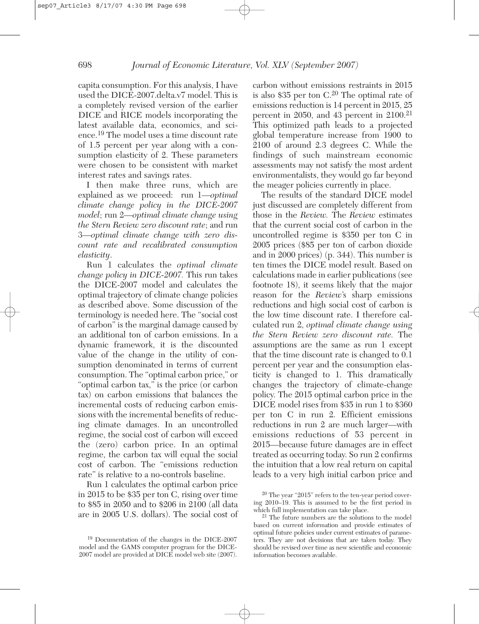capita consumption. For this analysis, I have used the DICE-2007.delta.v7 model. This is a completely revised version of the earlier DICE and RICE models incorporating the latest available data, economics, and science.<sup>19</sup> The model uses a time discount rate of 1.5 percent per year along with a consumption elasticity of 2. These parameters were chosen to be consistent with market interest rates and savings rates.

I then make three runs, which are explained as we proceed: run 1—*optimal climate change policy in the DICE-2007 model*; run 2—*optimal climate change using the Stern Review zero discount rate*; and run 3—*optimal climate change with zero discount rate and recalibrated consumption elasticity*.

Run 1 calculates the *optimal climate change policy in DICE-2007.* This run takes the DICE-2007 model and calculates the optimal trajectory of climate change policies as described above. Some discussion of the terminology is needed here. The "social cost of carbon" is the marginal damage caused by an additional ton of carbon emissions. In a dynamic framework, it is the discounted value of the change in the utility of consumption denominated in terms of current consumption. The "optimal carbon price," or "optimal carbon tax," is the price (or carbon tax) on carbon emissions that balances the incremental costs of reducing carbon emissions with the incremental benefits of reducing climate damages. In an uncontrolled regime, the social cost of carbon will exceed the (zero) carbon price. In an optimal regime, the carbon tax will equal the social cost of carbon. The "emissions reduction rate" is relative to a no-controls baseline.

Run 1 calculates the optimal carbon price in 2015 to be \$35 per ton C, rising over time to \$85 in 2050 and to \$206 in 2100 (all data are in 2005 U.S. dollars). The social cost of carbon without emissions restraints in 2015 is also \$35 per ton  $C^{20}$ . The optimal rate of emissions reduction is 14 percent in 2015, 25 percent in 2050, and 43 percent in  $2100.^{21}$ This optimized path leads to a projected global temperature increase from 1900 to 2100 of around 2.3 degrees C. While the findings of such mainstream economic assessments may not satisfy the most ardent environmentalists, they would go far beyond the meager policies currently in place.

The results of the standard DICE model just discussed are completely different from those in the *Review.* The *Review* estimates that the current social cost of carbon in the uncontrolled regime is \$350 per ton C in 2005 prices (\$85 per ton of carbon dioxide and in 2000 prices) (p. 344). This number is ten times the DICE model result. Based on calculations made in earlier publications (see footnote 18), it seems likely that the major reason for the *Review*'s sharp emissions reductions and high social cost of carbon is the low time discount rate. I therefore calculated run 2, *optimal climate change using the Stern Review zero discount rate.* The assumptions are the same as run 1 except that the time discount rate is changed to 0.1 percent per year and the consumption elasticity is changed to 1. This dramatically changes the trajectory of climate-change policy. The 2015 optimal carbon price in the DICE model rises from \$35 in run 1 to \$360 per ton C in run 2. Efficient emissions reductions in run 2 are much larger—with emissions reductions of 53 percent in 2015—because future damages are in effect treated as occurring today. So run 2 confirms the intuition that a low real return on capital leads to a very high initial carbon price and

<sup>19</sup> Documentation of the changes in the DICE-2007 model and the GAMS computer program for the DICE-2007 model are provided at DICE model web site (2007).

 $20$  The year "2015" refers to the ten-year period covering 2010–19. This is assumed to be the first period in

 $21$  The future numbers are the solutions to the model based on current information and provide estimates of optimal future policies under current estimates of parameters. They are not decisions that are taken today. They should be revised over time as new scientific and economic information becomes available.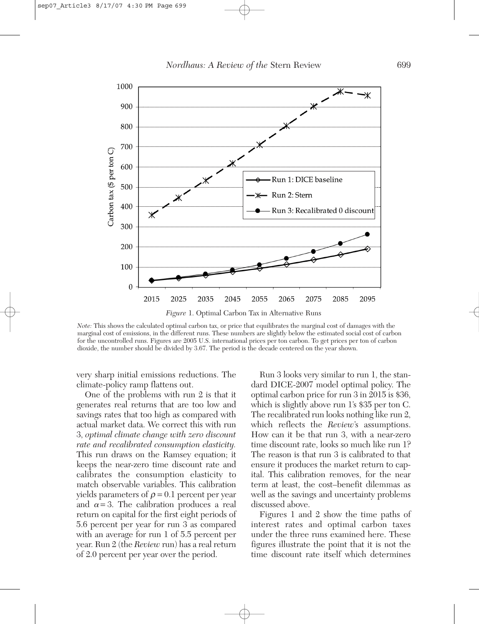

*Note:* This shows the calculated optimal carbon tax, or price that equilibrates the marginal cost of damages with the marginal cost of emissions, in the different runs. These numbers are slightly below the estimated social cost of carbon for the uncontrolled runs. Figures are 2005 U.S. international prices per ton carbon. To get prices per ton of carbon dioxide, the number should be divided by 3.67. The period is the decade centered on the year shown.

very sharp initial emissions reductions. The climate-policy ramp flattens out.

One of the problems with run 2 is that it generates real returns that are too low and savings rates that too high as compared with actual market data. We correct this with run 3, *optimal climate change with zero discount rate and recalibrated consumption elasticity.* This run draws on the Ramsey equation; it keeps the near-zero time discount rate and calibrates the consumption elasticity to match observable variables. This calibration yields parameters of  $\rho = 0.1$  percent per year and  $\alpha = 3$ . The calibration produces a real return on capital for the first eight periods of 5.6 percent per year for run 3 as compared with an average for run 1 of 5.5 percent per year. Run 2 (the *Review* run) has a real return of 2.0 percent per year over the period.

Run 3 looks very similar to run 1, the standard DICE-2007 model optimal policy. The optimal carbon price for run 3 in 2015 is \$36, which is slightly above run 1's \$35 per ton C. The recalibrated run looks nothing like run 2, which reflects the *Review*'s assumptions. How can it be that run 3, with a near-zero time discount rate, looks so much like run 1? The reason is that run 3 is calibrated to that ensure it produces the market return to capital. This calibration removes, for the near term at least, the cost–benefit dilemmas as well as the savings and uncertainty problems discussed above.

Figures 1 and 2 show the time paths of interest rates and optimal carbon taxes under the three runs examined here. These figures illustrate the point that it is not the time discount rate itself which determines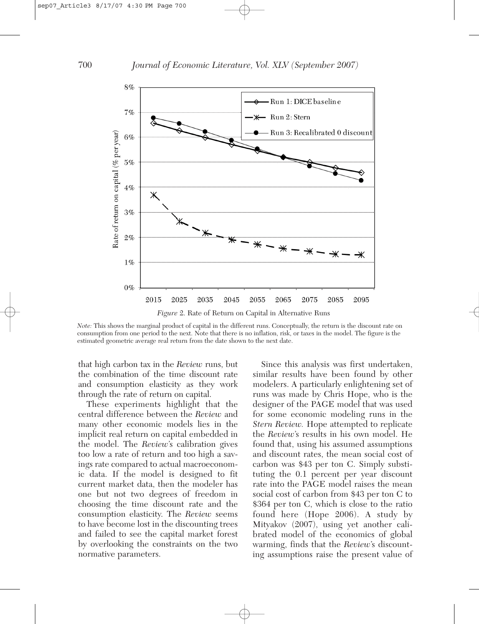

*Note:* This shows the marginal product of capital in the different runs. Conceptually, the return is the discount rate on consumption from one period to the next. Note that there is no inflation, risk, or taxes in the model. The figure is the estimated geometric average real return from the date shown to the next date.

that high carbon tax in the *Review* runs, but the combination of the time discount rate and consumption elasticity as they work through the rate of return on capital.

These experiments highlight that the central difference between the *Review* and many other economic models lies in the implicit real return on capital embedded in the model. The *Review*'s calibration gives too low a rate of return and too high a savings rate compared to actual macroeconomic data. If the model is designed to fit current market data, then the modeler has one but not two degrees of freedom in choosing the time discount rate and the consumption elasticity. The *Review* seems to have become lost in the discounting trees and failed to see the capital market forest by overlooking the constraints on the two normative parameters.

Since this analysis was first undertaken, similar results have been found by other modelers. A particularly enlightening set of runs was made by Chris Hope, who is the designer of the PAGE model that was used for some economic modeling runs in the *Stern Review.* Hope attempted to replicate the *Review*'s results in his own model. He found that, using his assumed assumptions and discount rates, the mean social cost of carbon was \$43 per ton C. Simply substituting the 0.1 percent per year discount rate into the PAGE model raises the mean social cost of carbon from \$43 per ton C to \$364 per ton C, which is close to the ratio found here (Hope 2006). A study by Mityakov (2007), using yet another calibrated model of the economics of global warming, finds that the *Review*'s discounting assumptions raise the present value of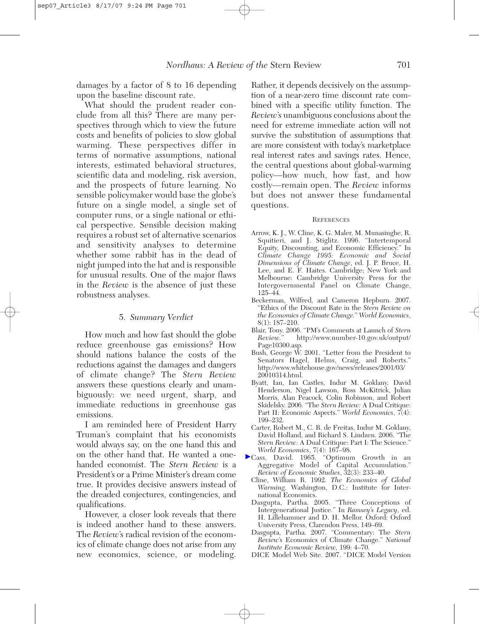damages by a factor of 8 to 16 depending upon the baseline discount rate.

What should the prudent reader conclude from all this? There are many perspectives through which to view the future costs and benefits of policies to slow global warming. These perspectives differ in terms of normative assumptions, national interests, estimated behavioral structures, scientific data and modeling, risk aversion, and the prospects of future learning. No sensible policymaker would base the globe's future on a single model, a single set of computer runs, or a single national or ethical perspective. Sensible decision making requires a robust set of alternative scenarios and sensitivity analyses to determine whether some rabbit has in the dead of night jumped into the hat and is responsible for unusual results. One of the major flaws in the *Review* is the absence of just these robustness analyses.

### 5. *Summary Verdict*

How much and how fast should the globe reduce greenhouse gas emissions? How should nations balance the costs of the reductions against the damages and dangers of climate change? The *Stern Review* answers these questions clearly and unambiguously: we need urgent, sharp, and immediate reductions in greenhouse gas emissions.

I am reminded here of President Harry Truman's complaint that his economists would always say, on the one hand this and on the other hand that. He wanted a onehanded economist. The *Stern Review* is a President's or a Prime Minister's dream come true. It provides decisive answers instead of the dreaded conjectures, contingencies, and qualifications.

However, a closer look reveals that there is indeed another hand to these answers. The *Review*'s radical revision of the economics of climate change does not arise from any new economics, science, or modeling.

Rather, it depends decisively on the assumption of a near-zero time discount rate combined with a specific utility function. The *Review*'s unambiguous conclusions about the need for extreme immediate action will not survive the substitution of assumptions that are more consistent with today's marketplace real interest rates and savings rates. Hence, the central questions about global-warming policy—how much, how fast, and how costly—remain open. The *Review* informs but does not answer these fundamental questions.

#### **REFERENCES**

- Arrow, K. J., W. Cline, K. G. Maler, M. Munasinghe, R. Squitieri, and J. Stiglitz. 1996. "Intertemporal Equity, Discounting, and Economic Efficiency." In *Climate Change 1995: Economic and Social Dimensions of Climate Change*, ed. J. P. Bruce, H. Lee, and E. F. Haites. Cambridge; New York and Melbourne: Cambridge University Press for the Intergovernmental Panel on Climate Change, 125–44.
- Beckerman, Wilfred, and Cameron Hepburn. 2007. "Ethics of the Discount Rate in the *Stern Review on the Economics of Climate Change.*" *World Economics*, 8(1): 187–210.
- Blair, Tony. 2006. "PM's Comments at Launch of *Stern Review.*" http://www.number-10.gov.uk/output/ Page10300.asp.
- Bush, George W. 2001. "Letter from the President to Senators Hagel, Helms, Craig, and Roberts.' http://www.whitehouse.gov/news/releases/2001/03/ 20010314.html.
- Byatt, Ian, Ian Castles, Indur M. Goklany, David Henderson, Nigel Lawson, Ross McKitrick, Julian Morris, Alan Peacock, Colin Robinson, and Robert Skidelsky. 2006. "The *Stern Review:* A Dual Critique: Part II: Economic Aspects." *World Economics*, 7(4): 199–232.
- Carter, Robert M., C. R. de Freitas, Indur M. Goklany, David Holland, and Richard S. Lindzen. 2006. "The *Stern Review:* A Dual Critique: Part I: The Science." *World Economics*, 7(4): 167–98.
- Cass, David. 1965. "Optimum Growth in an Aggregative Model of Capital Accumulation." *Review of Economic Studies*, 32(3): 233–40.
	- Cline, William R. 1992. *The Economics of Global Warming*. Washington, D.C.: Institute for International Economics.
	- Dasgupta, Partha. 2005. "Three Conceptions of Intergenerational Justice." In *Ramsey's Legacy*, ed. H. Lillehammer and D. H. Mellor. Oxford: Oxford University Press, Clarendon Press, 149–69.
	- Dasgupta, Partha. 2007. "Commentary: The *Stern Review*'s Economics of Climate Change." *National Institute Economic Review,* 199: 4–70.
	- DICE Model Web Site. 2007. "DICE Model Version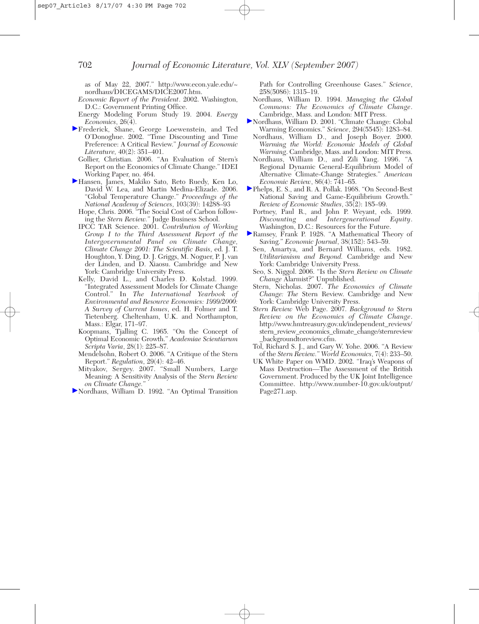as of May 22, 2007." http://www.econ.yale.edu/~ nordhaus/DICEGAMS/DICE2007.htm.

- *Economic Report of the President*. 2002. Washington, D.C.: Government Printing Office.
- Energy Modeling Forum Study 19. 2004. *Energy Economics*, 26(4).
- Frederick, Shane, George Loewenstein, and Ted O'Donoghue. 2002. "Time Discounting and Time Preference: A Critical Review." *Journal of Economic Literature,* 40(2): 351–401.
	- Gollier, Christian. 2006. "An Evaluation of Stern's Report on the Economics of Climate Change." IDEI Working Paper, no. 464.
- Hansen, James, Makiko Sato, Reto Ruedy, Ken Lo, David W. Lea, and Martin Medina-Elizade. 2006. "Global Temperature Change." *Proceedings of the National Academy of Sciences*, 103(39): 14288–93
	- Hope, Chris. 2006. "The Social Cost of Carbon following the *Stern Review.*" Judge Business School.
	- IPCC TAR Science. 2001. *Contribution of Working Group I to the Third Assessment Report of the Intergovernmental Panel on Climate Change, Climate Change 2001: The Scientific Basis*, ed. J. T. Houghton, Y. Ding, D. J. Griggs, M. Noguer, P. J. van der Linden, and D. Xiaosu. Cambridge and New York: Cambridge University Press.
	- Kelly, David L., and Charles D. Kolstad. 1999. "Integrated Assessment Models for Climate Change Control." In *The International Yearbook of Environmental and Resource Economics: 1999/2000: A Survey of Current Issues*, ed. H. Folmer and T. Tietenberg. Cheltenham, U.K. and Northampton, Mass.: Elgar, 171–97.
	- Koopmans, Tjalling C. 1965. "On the Concept of Optimal Economic Growth." *Academiae Scientiarum Scripta Varia*, 28(1): 225–87.
	- Mendelsohn, Robert O. 2006. "A Critique of the Stern Report." *Regulation*, 29(4): 42–46.
	- Mityakov, Sergey. 2007. "Small Numbers, Large Meaning: A Sensitivity Analysis of the *Stern Review on Climate Change.*"
- Nordhaus, William D. 1992. "An Optimal Transition

Path for Controlling Greenhouse Gases." *Science*, 258(5086): 1315–19.

- Nordhaus, William D. 1994. *Managing the Global Commons: The Economics of Climate Change*. Cambridge, Mass. and London: MIT Press.
- Nordhaus, William D. 2001. "Climate Change: Global Warming Economics." *Science*, 294(5545): 1283–84.
	- Nordhaus, William D., and Joseph Boyer. 2000. *Warming the World: Economic Models of Global Warming*. Cambridge, Mass. and London: MIT Press.
	- Nordhaus, William D., and Zili Yang. 1996. "A Regional Dynamic General-Equilibrium Model of Alternative Climate-Change Strategies." *American Economic Review*, 86(4): 741–65.
- Phelps, E. S., and R. A. Pollak. 1968. "On Second-Best National Saving and Game-Equilibrium Growth." *Review of Economic Studies*, 35(2): 185–99.
	- Portney, Paul R., and John P. Weyant, eds. 1999. *Discounting and Intergenerational Equity*. Washington, D.C.: Resources for the Future.
- Ramsey, Frank P. 1928. "A Mathematical Theory of Saving." *Economic Journal*, 38(152): 543–59.
	- Sen, Amartya, and Bernard Williams, eds. 1982. *Utilitarianism and Beyond.* Cambridge and New York: Cambridge University Press.
	- Seo, S. Niggol. 2006. "Is the *Stern Review on Climate Change* Alarmist?" Unpublished.
	- Stern, Nicholas. 2007. *The Economics of Climate Change: The* Stern Review. Cambridge and New York: Cambridge University Press.
	- *Stern Review* Web Page. 2007. *Background to Stern Review on the Economics of Climate Change*. http://www.hmtreasury.gov.uk/independent\_reviews/ stern\_review\_economics\_climate\_change/sternreview \_backgroundtoreview.cfm.
	- Tol, Richard S. J., and Gary W. Yohe. 2006. "A Review of the *Stern Review.*" *World Economics*, 7(4): 233–50.
	- UK White Paper on WMD. 2002. "Iraq's Weapons of Mass Destruction—The Assessment of the British Government. Produced by the UK Joint Intelligence Committee. http://www.number-10.gov.uk/output/ Page271.asp.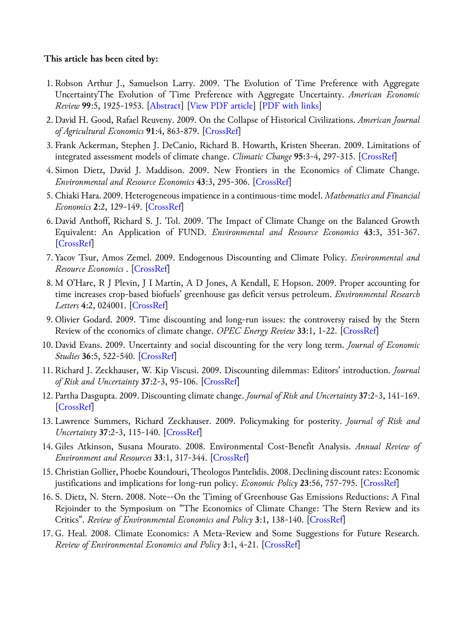#### **This article has been cited by:**

- 1. Robson Arthur J., Samuelson Larry. 2009. The Evolution of Time Preference with Aggregate UncertaintyThe Evolution of Time Preference with Aggregate Uncertainty. *American Economic Review* **99**:5, 1925-1953. [[Abstract\]](http://dx.doi.org/10.1257/aer.99.5.1925) [[View PDF article](http://pubs.aeaweb.org/doi/pdf/10.1257/aer.99.5.1925)] [\[PDF with links\]](http://pubs.aeaweb.org/doi/pdfplus/10.1257/aer.99.5.1925)
- 2.David H. Good, Rafael Reuveny. 2009. On the Collapse of Historical Civilizations. *American Journal of Agricultural Economics* **91**:4, 863-879. [[CrossRef\]](http://dx.doi.org/10.1111/j.1467-8276.2009.01312.x)
- 3. Frank Ackerman, Stephen J. DeCanio, Richard B. Howarth, Kristen Sheeran. 2009. Limitations of integrated assessment models of climate change. *Climatic Change* **95**:3-4, 297-315. [\[CrossRef](http://dx.doi.org/10.1007/s10584-009-9570-x)]
- 4. Simon Dietz, David J. Maddison. 2009. New Frontiers in the Economics of Climate Change. *Environmental and Resource Economics* **43**:3, 295-306. [\[CrossRef\]](http://dx.doi.org/10.1007/s10640-009-9278-4)
- 5. Chiaki Hara. 2009. Heterogeneous impatience in a continuous-time model. *Mathematics and Financial Economics* **2**:2, 129-149. [[CrossRef\]](http://dx.doi.org/10.1007/s11579-009-0017-y)
- 6.David Anthoff, Richard S. J. Tol. 2009. The Impact of Climate Change on the Balanced Growth Equivalent: An Application of FUND. *Environmental and Resource Economics* **43**:3, 351-367. [\[CrossRef](http://dx.doi.org/10.1007/s10640-009-9269-5)]
- 7. Yacov Tsur, Amos Zemel. 2009. Endogenous Discounting and Climate Policy. *Environmental and Resource Economics* . [\[CrossRef](http://dx.doi.org/10.1007/s10640-009-9298-0)]
- 8. M O'Hare, R J Plevin, J I Martin, A D Jones, A Kendall, E Hopson. 2009. Proper accounting for time increases crop-based biofuels' greenhouse gas deficit versus petroleum. *Environmental Research Letters* **4**:2, 024001. [[CrossRef\]](http://dx.doi.org/10.1088/1748-9326/4/2/024001)
- 9. Olivier Godard. 2009. Time discounting and long-run issues: the controversy raised by the Stern Review of the economics of climate change. *OPEC Energy Review* **33**:1, 1-22. [[CrossRef\]](http://dx.doi.org/10.1111/j.1753-0237.2009.00159.x)
- 10.David Evans. 2009. Uncertainty and social discounting for the very long term. *Journal of Economic Studies* **36**:5, 522-540. [\[CrossRef](http://dx.doi.org/10.1108/01443580910992429)]
- 11. Richard J. Zeckhauser, W. Kip Viscusi. 2009. Discounting dilemmas: Editors' introduction. *Journal of Risk and Uncertainty* **37**:2-3, 95-106. [\[CrossRef](http://dx.doi.org/10.1007/s11166-008-9055-8)]
- 12. Partha Dasgupta. 2009. Discounting climate change. *Journal of Risk and Uncertainty* **37**:2-3, 141-169. [\[CrossRef](http://dx.doi.org/10.1007/s11166-008-9049-6)]
- 13. Lawrence Summers, Richard Zeckhauser. 2009. Policymaking for posterity. *Journal of Risk and Uncertainty* **37**:2-3, 115-140. [\[CrossRef](http://dx.doi.org/10.1007/s11166-008-9052-y)]
- 14. Giles Atkinson, Susana Mourato. 2008. Environmental Cost-Benefit Analysis. *Annual Review of Environment and Resources* **33**:1, 317-344. [\[CrossRef](http://dx.doi.org/10.1146/annurev.environ.33.020107.112927)]
- 15. Christian Gollier, Phoebe Koundouri, Theologos Pantelidis. 2008. Declining discount rates: Economic justifications and implications for long-run policy. *Economic Policy* **23**:56, 757-795. [\[CrossRef](http://dx.doi.org/10.1111/j.1468-0327.2008.00211.x)]
- 16. S. Dietz, N. Stern. 2008. Note--On the Timing of Greenhouse Gas Emissions Reductions: A Final Rejoinder to the Symposium on "The Economics of Climate Change: The Stern Review and its Critics". *Review of Environmental Economics and Policy* **3**:1, 138-140. [\[CrossRef](http://dx.doi.org/10.1093/reep/ren022)]
- 17. G. Heal. 2008. Climate Economics: A Meta-Review and Some Suggestions for Future Research. *Review of Environmental Economics and Policy* **3**:1, 4-21. [[CrossRef\]](http://dx.doi.org/10.1093/reep/ren014)